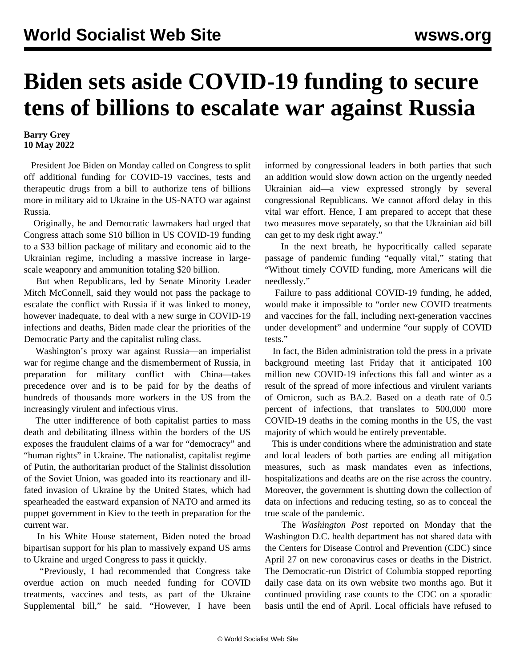## **Biden sets aside COVID-19 funding to secure tens of billions to escalate war against Russia**

## **Barry Grey 10 May 2022**

 President Joe Biden on Monday called on Congress to split off additional funding for COVID-19 vaccines, tests and therapeutic drugs from a bill to authorize tens of billions more in military aid to Ukraine in the US-NATO war against Russia.

 Originally, he and Democratic lawmakers had urged that Congress attach some \$10 billion in US COVID-19 funding to a \$33 billion package of military and economic aid to the Ukrainian regime, including a massive increase in largescale weaponry and ammunition totaling \$20 billion.

 But when Republicans, led by Senate Minority Leader Mitch McConnell, said they would not pass the package to escalate the conflict with Russia if it was linked to money, however inadequate, to deal with a new surge in COVID-19 infections and deaths, Biden made clear the priorities of the Democratic Party and the capitalist ruling class.

 Washington's proxy war against Russia—an imperialist war for regime change and the dismemberment of Russia, in preparation for military conflict with China—takes precedence over and is to be paid for by the deaths of hundreds of thousands more workers in the US from the increasingly virulent and infectious virus.

 The utter indifference of both capitalist parties to mass death and debilitating illness within the borders of the US exposes the fraudulent claims of a war for "democracy" and "human rights" in Ukraine. The nationalist, capitalist regime of Putin, the authoritarian product of the Stalinist dissolution of the Soviet Union, was goaded into its reactionary and illfated invasion of Ukraine by the United States, which had spearheaded the eastward expansion of NATO and armed its puppet government in Kiev to the teeth in preparation for the current war.

 In his White House statement, Biden noted the broad bipartisan support for his plan to massively expand US arms to Ukraine and urged Congress to pass it quickly.

 "Previously, I had recommended that Congress take overdue action on much needed funding for COVID treatments, vaccines and tests, as part of the Ukraine Supplemental bill," he said. "However, I have been informed by congressional leaders in both parties that such an addition would slow down action on the urgently needed Ukrainian aid—a view expressed strongly by several congressional Republicans. We cannot afford delay in this vital war effort. Hence, I am prepared to accept that these two measures move separately, so that the Ukrainian aid bill can get to my desk right away."

 In the next breath, he hypocritically called separate passage of pandemic funding "equally vital," stating that "Without timely COVID funding, more Americans will die needlessly."

 Failure to pass additional COVID-19 funding, he added, would make it impossible to "order new COVID treatments and vaccines for the fall, including next-generation vaccines under development" and undermine "our supply of COVID tests."

 In fact, the Biden administration told the press in a private background meeting last Friday that it anticipated 100 million new COVID-19 infections this fall and winter as a result of the spread of more infectious and virulent variants of Omicron, such as BA.2. Based on a death rate of 0.5 percent of infections, that translates to 500,000 more COVID-19 deaths in the coming months in the US, the vast majority of which would be entirely preventable.

 This is under conditions where the administration and state and local leaders of both parties are ending all mitigation measures, such as mask mandates even as infections, hospitalizations and deaths are on the rise across the country. Moreover, the government is shutting down the collection of data on infections and reducing testing, so as to conceal the true scale of the pandemic.

 The *Washington Post* reported on Monday that the Washington D.C. health department has not shared data with the Centers for Disease Control and Prevention (CDC) since April 27 on new coronavirus cases or deaths in the District. The Democratic-run District of Columbia stopped reporting daily case data on its own website two months ago. But it continued providing case counts to the CDC on a sporadic basis until the end of April. Local officials have refused to